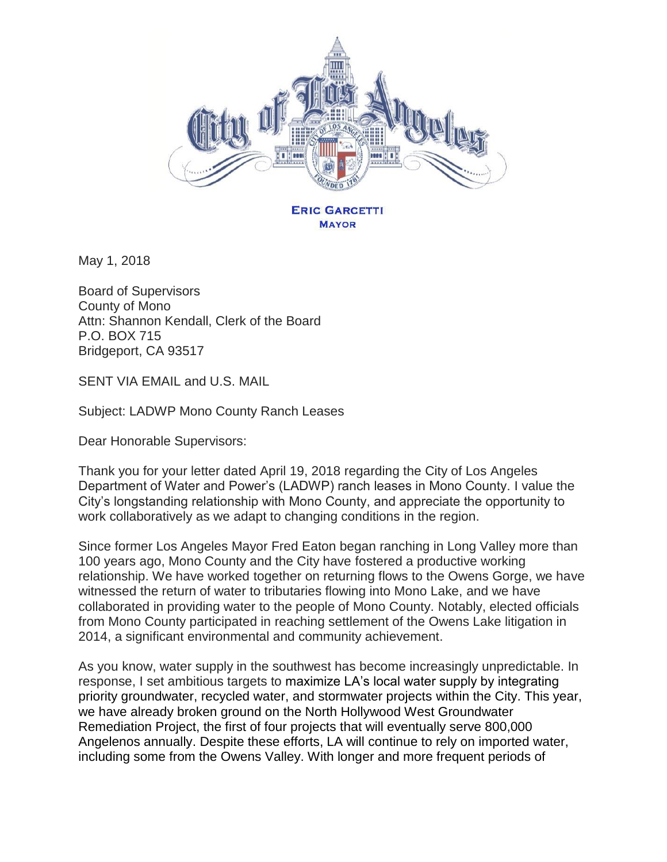

May 1, 2018

Board of Supervisors County of Mono Attn: Shannon Kendall, Clerk of the Board P.O. BOX 715 Bridgeport, CA 93517

SENT VIA EMAIL and U.S. MAIL

Subject: LADWP Mono County Ranch Leases

Dear Honorable Supervisors:

Thank you for your letter dated April 19, 2018 regarding the City of Los Angeles Department of Water and Power's (LADWP) ranch leases in Mono County. I value the City's longstanding relationship with Mono County, and appreciate the opportunity to work collaboratively as we adapt to changing conditions in the region.

Since former Los Angeles Mayor Fred Eaton began ranching in Long Valley more than 100 years ago, Mono County and the City have fostered a productive working relationship. We have worked together on returning flows to the Owens Gorge, we have witnessed the return of water to tributaries flowing into Mono Lake, and we have collaborated in providing water to the people of Mono County. Notably, elected officials from Mono County participated in reaching settlement of the Owens Lake litigation in 2014, a significant environmental and community achievement.

As you know, water supply in the southwest has become increasingly unpredictable. In response, I set ambitious targets to maximize LA's local water supply by integrating priority groundwater, recycled water, and stormwater projects within the City. This year, we have already broken ground on the North Hollywood West Groundwater Remediation Project, the first of four projects that will eventually serve 800,000 Angelenos annually. Despite these efforts, LA will continue to rely on imported water, including some from the Owens Valley. With longer and more frequent periods of